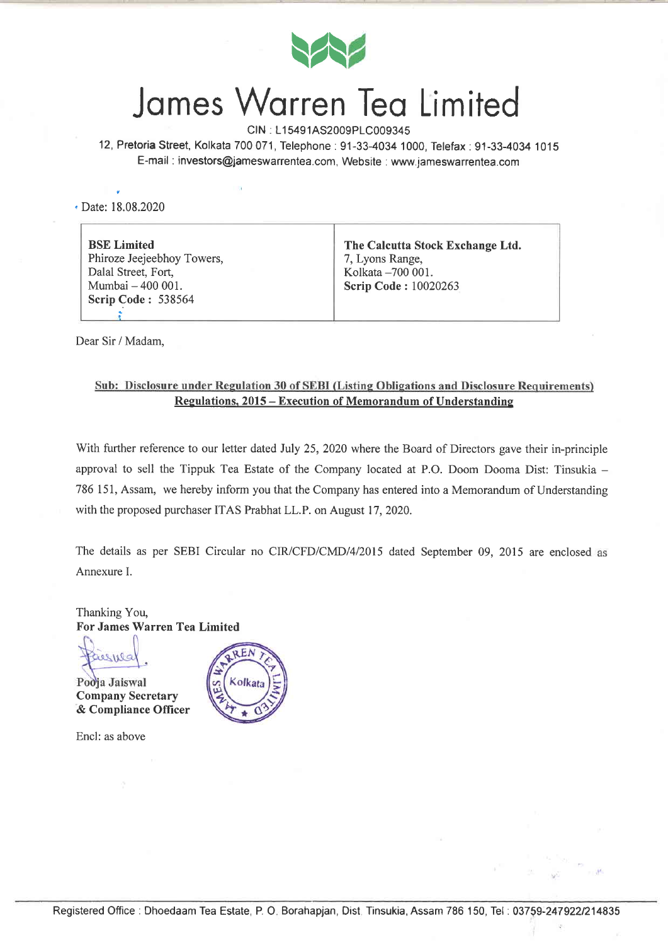

## James Warren Tea Limited

CIN : L1 5491AS2009P1C009345 12, PretoriaStreet, Kolkata 700071, Telephone:91-33-4034 1000, Telefax:91-33-4034 1015 E-mail : investors@jameswarrentea.com, Website : www.jameswarrentea.com

• Date: 18.08.2020

| <b>BSE</b> Limited         | The Calcutta Stock Exchange Ltd. |
|----------------------------|----------------------------------|
| Phiroze Jeejeebhoy Towers, | 7, Lyons Range,                  |
| Dalal Street, Fort,        | Kolkata -700 001.                |
| Mumbai - 400 001.          | Scrip Code: 10020263             |
| <b>Scrip Code: 538564</b>  |                                  |

Dear Sir / Madam,

## Sub: Disclosure under Regulation 30 of SEBI (Listing Obligations and Disclosure Requirements) Resulations. 2015 - Execution of Memorandum of Understanding

With further reference to our letter dated July 25, 2020 where the Board of Directors gave their in-principle approval to sell the Tippuk Tea Estate of the Company located at P.O. Doom Dooma Dist: Tinsukia - 786 151, Assam, we hereby inform you that the Company has entered into a Memorandum of Understanding with the proposed purchaser ITAS Prabhat LL.P. on August 17,2020.

The details as per SEBI Circular no CIR/CFD/CMD/4/2015 dated September 09, 2015 are enclosed as Annexure I.

Thanking You, For James Warren Tea Limited

iesues

Podja Jaiswal Company Secretary & Compliance Officer

Encl: as above